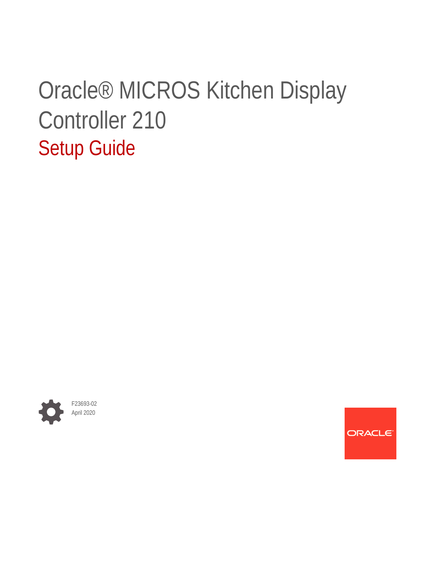# Oracle® MICROS Kitchen Display Controller 210 Setup Guide



F23693-02 April 2020

**ORACLE**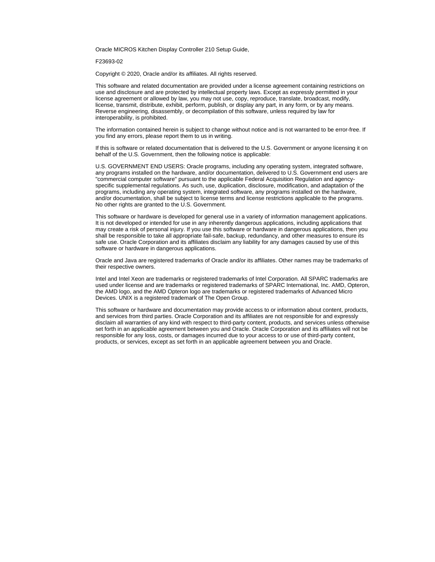Oracle MICROS Kitchen Display Controller 210 Setup Guide,

F23693-02

Copyright © 2020, Oracle and/or its affiliates. All rights reserved.

This software and related documentation are provided under a license agreement containing restrictions on use and disclosure and are protected by intellectual property laws. Except as expressly permitted in your license agreement or allowed by law, you may not use, copy, reproduce, translate, broadcast, modify, license, transmit, distribute, exhibit, perform, publish, or display any part, in any form, or by any means. Reverse engineering, disassembly, or decompilation of this software, unless required by law for interoperability, is prohibited.

The information contained herein is subject to change without notice and is not warranted to be error-free. If you find any errors, please report them to us in writing.

If this is software or related documentation that is delivered to the U.S. Government or anyone licensing it on behalf of the U.S. Government, then the following notice is applicable:

U.S. GOVERNMENT END USERS: Oracle programs, including any operating system, integrated software, any programs installed on the hardware, and/or documentation, delivered to U.S. Government end users are "commercial computer software" pursuant to the applicable Federal Acquisition Regulation and agencyspecific supplemental regulations. As such, use, duplication, disclosure, modification, and adaptation of the programs, including any operating system, integrated software, any programs installed on the hardware, and/or documentation, shall be subject to license terms and license restrictions applicable to the programs. No other rights are granted to the U.S. Government.

This software or hardware is developed for general use in a variety of information management applications. It is not developed or intended for use in any inherently dangerous applications, including applications that may create a risk of personal injury. If you use this software or hardware in dangerous applications, then you shall be responsible to take all appropriate fail-safe, backup, redundancy, and other measures to ensure its safe use. Oracle Corporation and its affiliates disclaim any liability for any damages caused by use of this software or hardware in dangerous applications.

Oracle and Java are registered trademarks of Oracle and/or its affiliates. Other names may be trademarks of their respective owners.

Intel and Intel Xeon are trademarks or registered trademarks of Intel Corporation. All SPARC trademarks are used under license and are trademarks or registered trademarks of SPARC International, Inc. AMD, Opteron, the AMD logo, and the AMD Opteron logo are trademarks or registered trademarks of Advanced Micro Devices. UNIX is a registered trademark of The Open Group.

This software or hardware and documentation may provide access to or information about content, products, and services from third parties. Oracle Corporation and its affiliates are not responsible for and expressly disclaim all warranties of any kind with respect to third-party content, products, and services unless otherwise set forth in an applicable agreement between you and Oracle. Oracle Corporation and its affiliates will not be responsible for any loss, costs, or damages incurred due to your access to or use of third-party content, products, or services, except as set forth in an applicable agreement between you and Oracle.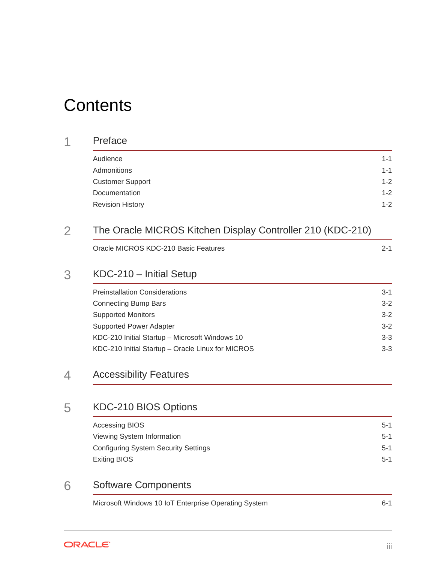# **Contents**

| Preface                                                    |         |
|------------------------------------------------------------|---------|
| Audience                                                   | $1 - 1$ |
| Admonitions                                                | $1 - 1$ |
| <b>Customer Support</b>                                    | $1 - 2$ |
| Documentation                                              | $1 - 2$ |
| <b>Revision History</b>                                    | $1 - 2$ |
| The Oracle MICROS Kitchen Display Controller 210 (KDC-210) |         |
| Oracle MICROS KDC-210 Basic Features                       | $2 - 1$ |
| KDC-210 - Initial Setup                                    |         |
| <b>Preinstallation Considerations</b>                      | $3 - 1$ |
| <b>Connecting Bump Bars</b>                                | $3 - 2$ |
| <b>Supported Monitors</b>                                  | $3 - 2$ |
| <b>Supported Power Adapter</b>                             | $3 - 2$ |
| KDC-210 Initial Startup - Microsoft Windows 10             | $3 - 3$ |
| KDC-210 Initial Startup - Oracle Linux for MICROS          | $3 - 3$ |
| <b>Accessibility Features</b>                              |         |
| <b>KDC-210 BIOS Options</b>                                |         |
| <b>Accessing BIOS</b>                                      | $5 - 1$ |
| Viewing System Information                                 | $5 - 1$ |
| <b>Configuring System Security Settings</b>                | $5 - 1$ |
| <b>Exiting BIOS</b>                                        | $5 - 1$ |
| <b>Software Components</b>                                 |         |
| Microsoft Windows 10 IoT Enterprise Operating System       | $6 - 1$ |

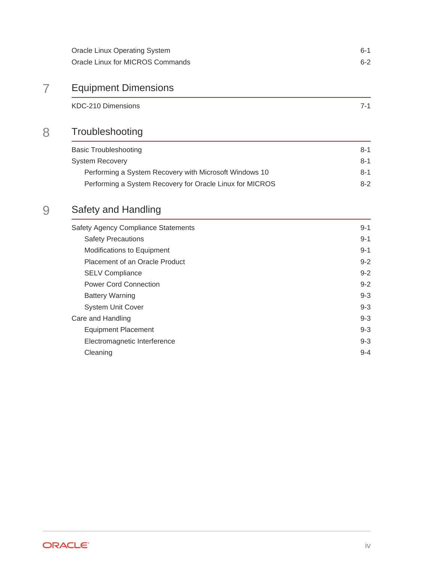| Oracle Linux Operating System    | $6 - 1$ |
|----------------------------------|---------|
| Oracle Linux for MICROS Commands | $6 - 2$ |

### 7 [Equipment Dimensions](#page-17-0)

| KDC-210 Dimensions | $7-1$ |
|--------------------|-------|
|                    |       |

### 8 [Troubleshooting](#page-18-0)

| <b>Basic Troubleshooting</b>                             | 8-1   |
|----------------------------------------------------------|-------|
| System Recovery                                          | 8-1   |
| Performing a System Recovery with Microsoft Windows 10   | $8-1$ |
| Performing a System Recovery for Oracle Linux for MICROS | $8-2$ |

### 9 [Safety and Handling](#page-20-0)

| Safety Agency Compliance Statements<br>$9-1$ |         |
|----------------------------------------------|---------|
| <b>Safety Precautions</b>                    | $9-1$   |
| <b>Modifications to Equipment</b>            | $9-1$   |
| Placement of an Oracle Product               | $9 - 2$ |
| <b>SELV Compliance</b>                       | $9 - 2$ |
| <b>Power Cord Connection</b>                 | $9 - 2$ |
| <b>Battery Warning</b>                       | $9 - 3$ |
| <b>System Unit Cover</b>                     | $9 - 3$ |
| Care and Handling                            | $9 - 3$ |
| <b>Equipment Placement</b>                   | $9 - 3$ |
| Electromagnetic Interference                 | $9 - 3$ |
| Cleaning                                     | $9 - 4$ |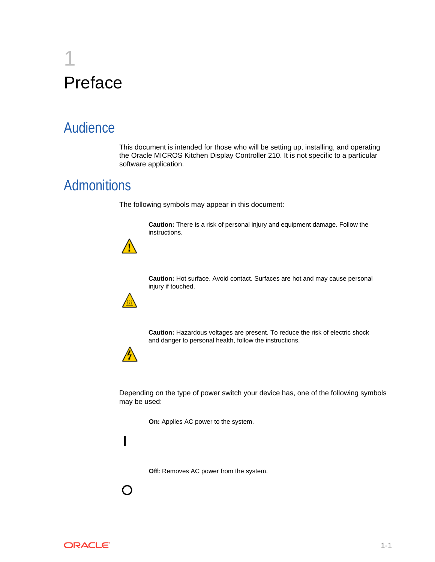# <span id="page-4-0"></span>1 Preface

## Audience

This document is intended for those who will be setting up, installing, and operating the Oracle MICROS Kitchen Display Controller 210. It is not specific to a particular software application.

### **Admonitions**

The following symbols may appear in this document:

**Caution:** There is a risk of personal injury and equipment damage. Follow the instructions.



**Caution:** Hot surface. Avoid contact. Surfaces are hot and may cause personal injury if touched.



**Caution:** Hazardous voltages are present. To reduce the risk of electric shock and danger to personal health, follow the instructions.



 $\mathbf{I}$ 

 $\Omega$ 

Depending on the type of power switch your device has, one of the following symbols may be used:

**On:** Applies AC power to the system.

**Off:** Removes AC power from the system.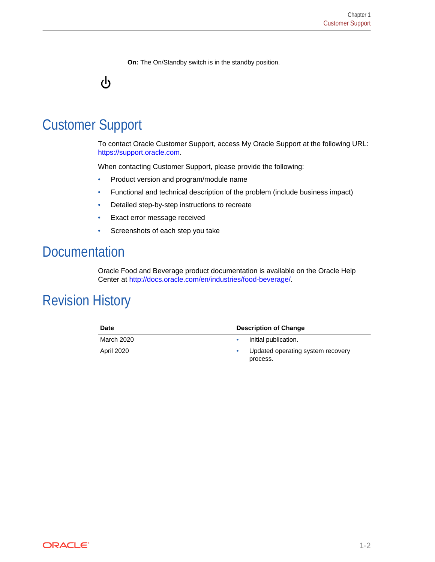**On:** The On/Standby switch is in the standby position.

<span id="page-5-0"></span>ტ

### Customer Support

To contact Oracle Customer Support, access My Oracle Support at the following URL: <https://support.oracle.com>.

When contacting Customer Support, please provide the following:

- Product version and program/module name
- Functional and technical description of the problem (include business impact)
- Detailed step-by-step instructions to recreate
- Exact error message received
- Screenshots of each step you take

### **Documentation**

Oracle Food and Beverage product documentation is available on the Oracle Help Center at <http://docs.oracle.com/en/industries/food-beverage/>.

### Revision History

| Date              | <b>Description of Change</b>                  |
|-------------------|-----------------------------------------------|
| March 2020        | Initial publication.                          |
| <b>April 2020</b> | Updated operating system recovery<br>process. |

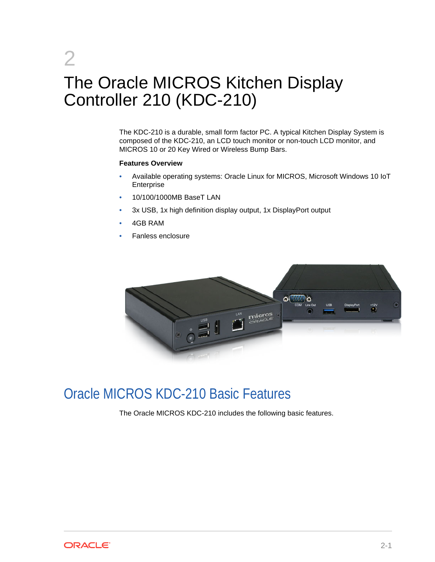# <span id="page-6-0"></span>2 The Oracle MICROS Kitchen Display Controller 210 (KDC-210)

The KDC-210 is a durable, small form factor PC. A typical Kitchen Display System is composed of the KDC-210, an LCD touch monitor or non-touch LCD monitor, and MICROS 10 or 20 Key Wired or Wireless Bump Bars.

#### **Features Overview**

- Available operating systems: Oracle Linux for MICROS, Microsoft Windows 10 IoT Enterprise
- 10/100/1000MB BaseT LAN
- 3x USB, 1x high definition display output, 1x DisplayPort output
- 4GB RAM
- Fanless enclosure



### Oracle MICROS KDC-210 Basic Features

The Oracle MICROS KDC-210 includes the following basic features.

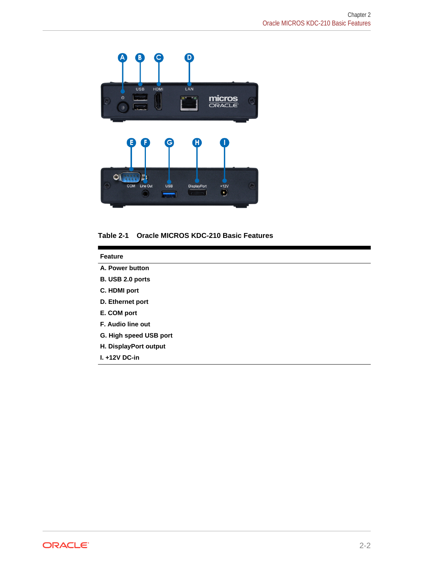

**Table 2-1 Oracle MICROS KDC-210 Basic Features**

| <b>Feature</b>         |
|------------------------|
| A. Power button        |
| B. USB 2.0 ports       |
| C. HDMI port           |
| D. Ethernet port       |
| E. COM port            |
| F. Audio line out      |
| G. High speed USB port |
| H. DisplayPort output  |
| $I. +12V$ DC-in        |
|                        |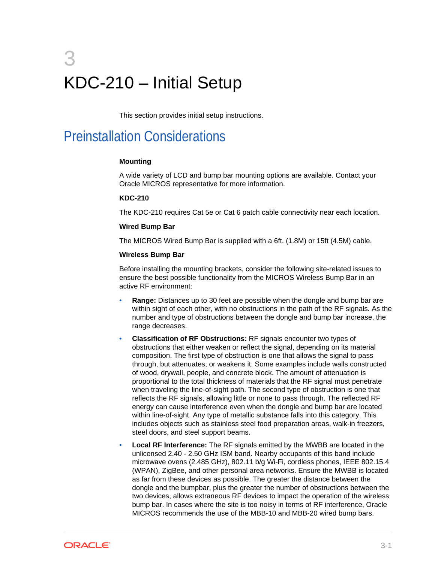# <span id="page-8-0"></span>3 KDC-210 – Initial Setup

This section provides initial setup instructions.

## Preinstallation Considerations

#### **Mounting**

A wide variety of LCD and bump bar mounting options are available. Contact your Oracle MICROS representative for more information.

#### **KDC-210**

The KDC-210 requires Cat 5e or Cat 6 patch cable connectivity near each location.

#### **Wired Bump Bar**

The MICROS Wired Bump Bar is supplied with a 6ft. (1.8M) or 15ft (4.5M) cable.

#### **Wireless Bump Bar**

Before installing the mounting brackets, consider the following site-related issues to ensure the best possible functionality from the MICROS Wireless Bump Bar in an active RF environment:

- **Range:** Distances up to 30 feet are possible when the dongle and bump bar are within sight of each other, with no obstructions in the path of the RF signals. As the number and type of obstructions between the dongle and bump bar increase, the range decreases.
- **Classification of RF Obstructions:** RF signals encounter two types of obstructions that either weaken or reflect the signal, depending on its material composition. The first type of obstruction is one that allows the signal to pass through, but attenuates, or weakens it. Some examples include walls constructed of wood, drywall, people, and concrete block. The amount of attenuation is proportional to the total thickness of materials that the RF signal must penetrate when traveling the line-of-sight path. The second type of obstruction is one that reflects the RF signals, allowing little or none to pass through. The reflected RF energy can cause interference even when the dongle and bump bar are located within line-of-sight. Any type of metallic substance falls into this category. This includes objects such as stainless steel food preparation areas, walk-in freezers, steel doors, and steel support beams.
- **Local RF Interference:** The RF signals emitted by the MWBB are located in the unlicensed 2.40 - 2.50 GHz ISM band. Nearby occupants of this band include microwave ovens (2.485 GHz), 802.11 b/g Wi-Fi, cordless phones, IEEE 802.15.4 (WPAN), ZigBee, and other personal area networks. Ensure the MWBB is located as far from these devices as possible. The greater the distance between the dongle and the bumpbar, plus the greater the number of obstructions between the two devices, allows extraneous RF devices to impact the operation of the wireless bump bar. In cases where the site is too noisy in terms of RF interference, Oracle MICROS recommends the use of the MBB-10 and MBB-20 wired bump bars.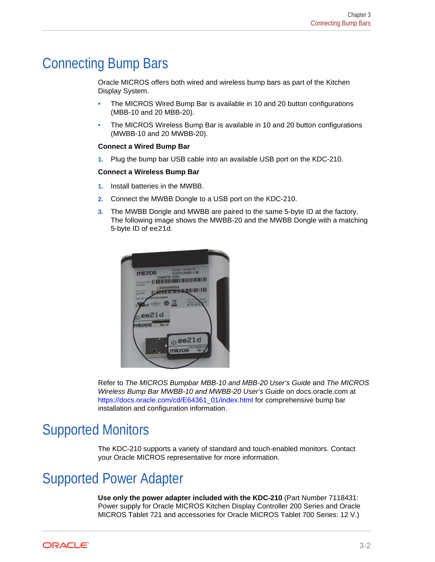### <span id="page-9-0"></span>Connecting Bump Bars

Oracle MICROS offers both wired and wireless bump bars as part of the Kitchen Display System.

- The MICROS Wired Bump Bar is available in 10 and 20 button configurations (MBB-10 and 20 MBB-20).
- The MICROS Wireless Bump Bar is available in 10 and 20 button configurations (MWBB-10 and 20 MWBB-20).

#### **Connect a Wired Bump Bar**

**1.** Plug the bump bar USB cable into an available USB port on the KDC-210.

#### **Connect a Wireless Bump Bar**

- **1.** Install batteries in the MWBB.
- **2.** Connect the MWBB Dongle to a USB port on the KDC-210.
- **3.** The MWBB Dongle and MWBB are paired to the same 5-byte ID at the factory. The following image shows the MWBB-20 and the MWBB Dongle with a matching 5-byte ID of ee21d.



Refer to *The MICROS Bumpbar MBB-10 and MBB-20 User's Guide* and *The MICROS Wireless Bump Bar MWBB-10 and MWBB-20 User's Guide* on docs.oracle.com at [https://docs.oracle.com/cd/E64361\\_01/index.html](https://docs.oracle.com/cd/E64361_01/index.html) for comprehensive bump bar installation and configuration information.

### Supported Monitors

The KDC-210 supports a variety of standard and touch-enabled monitors. Contact your Oracle MICROS representative for more information.

## Supported Power Adapter

**Use only the power adapter included with the KDC-210** (Part Number 7118431: Power supply for Oracle MICROS Kitchen Display Controller 200 Series and Oracle MICROS Tablet 721 and accessories for Oracle MICROS Tablet 700 Series: 12 V.)

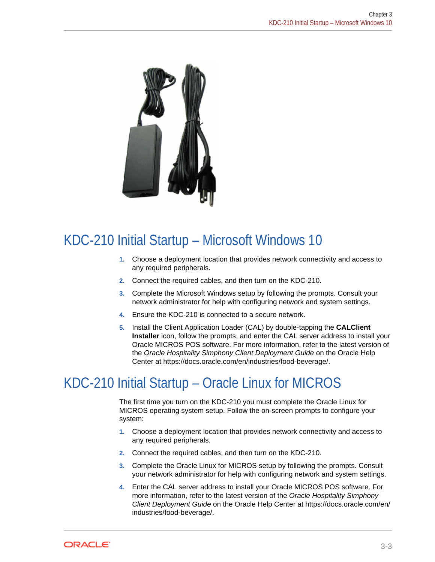<span id="page-10-0"></span>

## KDC-210 Initial Startup – Microsoft Windows 10

- **1.** Choose a deployment location that provides network connectivity and access to any required peripherals.
- **2.** Connect the required cables, and then turn on the KDC-210.
- **3.** Complete the Microsoft Windows setup by following the prompts. Consult your network administrator for help with configuring network and system settings.
- **4.** Ensure the KDC-210 is connected to a secure network.
- **5.** Install the Client Application Loader (CAL) by double-tapping the **CALClient Installer** icon, follow the prompts, and enter the CAL server address to install your Oracle MICROS POS software. For more information, refer to the latest version of the *Oracle Hospitality Simphony Client Deployment Guide* on the Oracle Help Center at https://docs.oracle.com/en/industries/food-beverage/.

### KDC-210 Initial Startup – Oracle Linux for MICROS

The first time you turn on the KDC-210 you must complete the Oracle Linux for MICROS operating system setup. Follow the on-screen prompts to configure your system:

- **1.** Choose a deployment location that provides network connectivity and access to any required peripherals.
- **2.** Connect the required cables, and then turn on the KDC-210.
- **3.** Complete the Oracle Linux for MICROS setup by following the prompts. Consult your network administrator for help with configuring network and system settings.
- **4.** Enter the CAL server address to install your Oracle MICROS POS software. For more information, refer to the latest version of the *Oracle Hospitality Simphony Client Deployment Guide* on the Oracle Help Center at https://docs.oracle.com/en/ industries/food-beverage/.

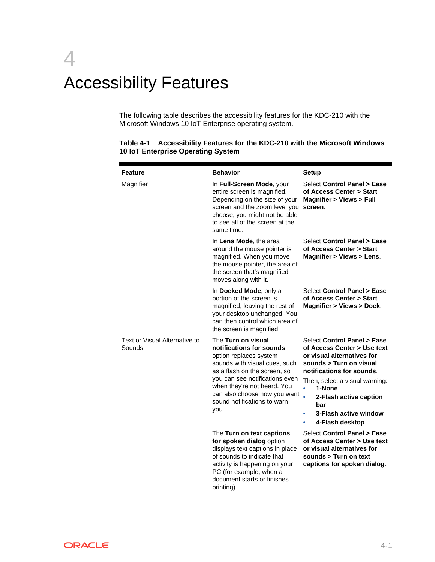# <span id="page-11-0"></span>4 Accessibility Features

The following table describes the accessibility features for the KDC-210 with the Microsoft Windows 10 IoT Enterprise operating system.

| <b>Feature</b>                          | <b>Behavior</b>                                                                                                                                                                                                                                                                   | <b>Setup</b>                                                                                                                                                                                                                                                                                     |
|-----------------------------------------|-----------------------------------------------------------------------------------------------------------------------------------------------------------------------------------------------------------------------------------------------------------------------------------|--------------------------------------------------------------------------------------------------------------------------------------------------------------------------------------------------------------------------------------------------------------------------------------------------|
| Magnifier                               | In Full-Screen Mode, your<br>entire screen is magnified.<br>Depending on the size of your<br>screen and the zoom level you<br>choose, you might not be able<br>to see all of the screen at the<br>same time.                                                                      | Select Control Panel > Ease<br>of Access Center > Start<br>Magnifier > Views > Full<br>screen.                                                                                                                                                                                                   |
|                                         | In Lens Mode, the area<br>around the mouse pointer is<br>magnified. When you move<br>the mouse pointer, the area of<br>the screen that's magnified<br>moves along with it.                                                                                                        | Select Control Panel > Ease<br>of Access Center > Start<br>Magnifier > Views > Lens.                                                                                                                                                                                                             |
|                                         | In Docked Mode, only a<br>portion of the screen is<br>magnified, leaving the rest of<br>your desktop unchanged. You<br>can then control which area of<br>the screen is magnified.                                                                                                 | Select Control Panel > Ease<br>of Access Center > Start<br>Magnifier > Views > Dock.                                                                                                                                                                                                             |
| Text or Visual Alternative to<br>Sounds | The Turn on visual<br>notifications for sounds<br>option replaces system<br>sounds with visual cues, such<br>as a flash on the screen, so<br>you can see notifications even<br>when they're not heard. You<br>can also choose how you want<br>sound notifications to warn<br>you. | Select Control Panel > Ease<br>of Access Center > Use text<br>or visual alternatives for<br>sounds > Turn on visual<br>notifications for sounds.<br>Then, select a visual warning:<br>$\bullet$<br>1-None<br>2-Flash active caption<br>bar<br>3-Flash active window<br>٠<br>4-Flash desktop<br>٠ |
|                                         | The Turn on text captions<br>for spoken dialog option<br>displays text captions in place<br>of sounds to indicate that<br>activity is happening on your<br>PC (for example, when a<br>document starts or finishes<br>printing).                                                   | Select Control Panel > Ease<br>of Access Center > Use text<br>or visual alternatives for<br>sounds > Turn on text<br>captions for spoken dialog.                                                                                                                                                 |

#### **Table 4-1 Accessibility Features for the KDC-210 with the Microsoft Windows 10 IoT Enterprise Operating System**

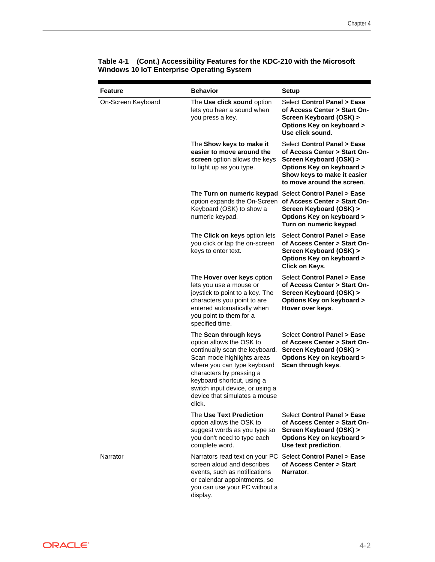| <b>Feature</b>     | <b>Behavior</b>                                                                                                                                                                                                                                                                          | <b>Setup</b>                                                                                                                                                                     |
|--------------------|------------------------------------------------------------------------------------------------------------------------------------------------------------------------------------------------------------------------------------------------------------------------------------------|----------------------------------------------------------------------------------------------------------------------------------------------------------------------------------|
| On-Screen Keyboard | The Use click sound option<br>lets you hear a sound when<br>you press a key.                                                                                                                                                                                                             | Select Control Panel > Ease<br>of Access Center > Start On-<br>Screen Keyboard (OSK) ><br>Options Key on keyboard ><br>Use click sound.                                          |
|                    | The Show keys to make it<br>easier to move around the<br>screen option allows the keys<br>to light up as you type.                                                                                                                                                                       | Select Control Panel > Ease<br>of Access Center > Start On-<br>Screen Keyboard (OSK) ><br>Options Key on keyboard ><br>Show keys to make it easier<br>to move around the screen. |
|                    | The Turn on numeric keypad<br>option expands the On-Screen<br>Keyboard (OSK) to show a<br>numeric keypad.                                                                                                                                                                                | Select Control Panel > Ease<br>of Access Center > Start On-<br>Screen Keyboard (OSK) ><br>Options Key on keyboard ><br>Turn on numeric keypad.                                   |
|                    | The Click on keys option lets<br>you click or tap the on-screen<br>keys to enter text.                                                                                                                                                                                                   | Select Control Panel > Ease<br>of Access Center > Start On-<br>Screen Keyboard (OSK) ><br>Options Key on keyboard ><br>Click on Keys.                                            |
|                    | The Hover over keys option<br>lets you use a mouse or<br>joystick to point to a key. The<br>characters you point to are<br>entered automatically when<br>you point to them for a<br>specified time.                                                                                      | Select Control Panel > Ease<br>of Access Center > Start On-<br>Screen Keyboard (OSK) ><br>Options Key on keyboard ><br>Hover over keys.                                          |
|                    | The Scan through keys<br>option allows the OSK to<br>continually scan the keyboard.<br>Scan mode highlights areas<br>where you can type keyboard<br>characters by pressing a<br>keyboard shortcut, using a<br>switch input device, or using a<br>device that simulates a mouse<br>click. | Select Control Panel > Ease<br>of Access Center > Start On-<br>Screen Keyboard (OSK) ><br>Options Key on keyboard ><br>Scan through keys.                                        |
|                    | The Use Text Prediction<br>option allows the OSK to<br>suggest words as you type so<br>you don't need to type each<br>complete word.                                                                                                                                                     | Select Control Panel > Ease<br>of Access Center > Start On-<br>Screen Keyboard (OSK) ><br>Options Key on keyboard ><br>Use text prediction.                                      |
| Narrator           | Narrators read text on your PC<br>screen aloud and describes<br>events, such as notifications<br>or calendar appointments, so<br>you can use your PC without a<br>display.                                                                                                               | Select Control Panel > Ease<br>of Access Center > Start<br>Narrator.                                                                                                             |

**Table 4-1 (Cont.) Accessibility Features for the KDC-210 with the Microsoft Windows 10 IoT Enterprise Operating System**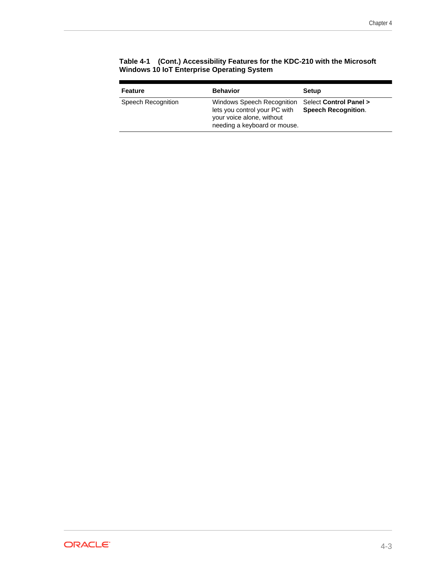| Feature            | <b>Behavior</b>                                                                                                          | <b>Setup</b>                                         |
|--------------------|--------------------------------------------------------------------------------------------------------------------------|------------------------------------------------------|
| Speech Recognition | Windows Speech Recognition<br>lets you control your PC with<br>your voice alone, without<br>needing a keyboard or mouse. | Select Control Panel ><br><b>Speech Recognition.</b> |

#### **Table 4-1 (Cont.) Accessibility Features for the KDC-210 with the Microsoft Windows 10 IoT Enterprise Operating System**

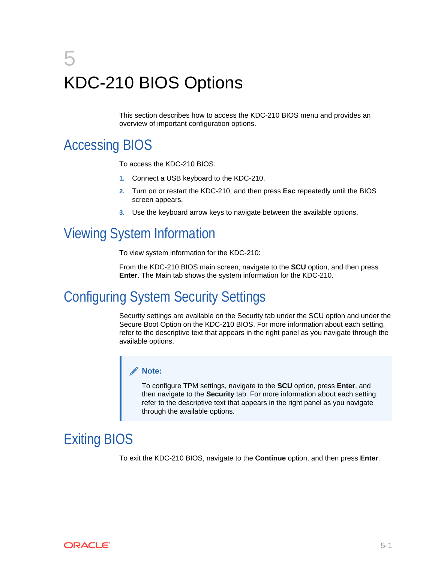# <span id="page-14-0"></span>5 KDC-210 BIOS Options

This section describes how to access the KDC-210 BIOS menu and provides an overview of important configuration options.

## Accessing BIOS

To access the KDC-210 BIOS:

- **1.** Connect a USB keyboard to the KDC-210.
- **2.** Turn on or restart the KDC-210, and then press **Esc** repeatedly until the BIOS screen appears.
- **3.** Use the keyboard arrow keys to navigate between the available options.

## Viewing System Information

To view system information for the KDC-210:

From the KDC-210 BIOS main screen, navigate to the **SCU** option, and then press **Enter**. The Main tab shows the system information for the KDC-210.

### Configuring System Security Settings

Security settings are available on the Security tab under the SCU option and under the Secure Boot Option on the KDC-210 BIOS. For more information about each setting, refer to the descriptive text that appears in the right panel as you navigate through the available options.

#### **Note:**

To configure TPM settings, navigate to the **SCU** option, press **Enter**, and then navigate to the **Security** tab. For more information about each setting, refer to the descriptive text that appears in the right panel as you navigate through the available options.

### Exiting BIOS

To exit the KDC-210 BIOS, navigate to the **Continue** option, and then press **Enter**.

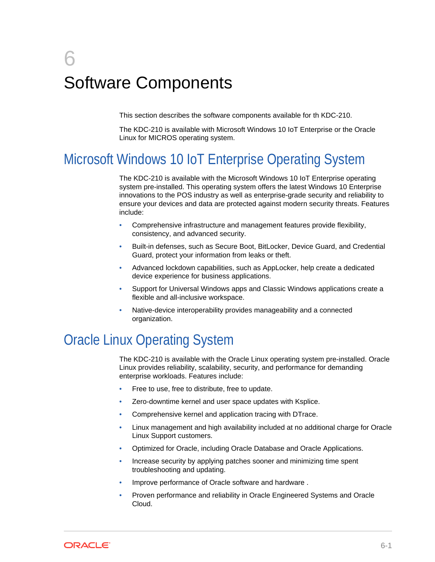# <span id="page-15-0"></span>6 Software Components

This section describes the software components available for th KDC-210.

The KDC-210 is available with Microsoft Windows 10 IoT Enterprise or the Oracle Linux for MICROS operating system.

# Microsoft Windows 10 IoT Enterprise Operating System

The KDC-210 is available with the Microsoft Windows 10 IoT Enterprise operating system pre-installed. This operating system offers the latest Windows 10 Enterprise innovations to the POS industry as well as enterprise-grade security and reliability to ensure your devices and data are protected against modern security threats. Features include:

- Comprehensive infrastructure and management features provide flexibility, consistency, and advanced security.
- Built-in defenses, such as Secure Boot, BitLocker, Device Guard, and Credential Guard, protect your information from leaks or theft.
- Advanced lockdown capabilities, such as AppLocker, help create a dedicated device experience for business applications.
- Support for Universal Windows apps and Classic Windows applications create a flexible and all-inclusive workspace.
- Native-device interoperability provides manageability and a connected organization.

# Oracle Linux Operating System

The KDC-210 is available with the Oracle Linux operating system pre-installed. Oracle Linux provides reliability, scalability, security, and performance for demanding enterprise workloads. Features include:

- Free to use, free to distribute, free to update.
- Zero-downtime kernel and user space updates with Ksplice.
- Comprehensive kernel and application tracing with DTrace.
- Linux management and high availability included at no additional charge for Oracle Linux Support customers.
- Optimized for Oracle, including Oracle Database and Oracle Applications.
- Increase security by applying patches sooner and minimizing time spent troubleshooting and updating.
- Improve performance of Oracle software and hardware .
- Proven performance and reliability in Oracle Engineered Systems and Oracle Cloud.

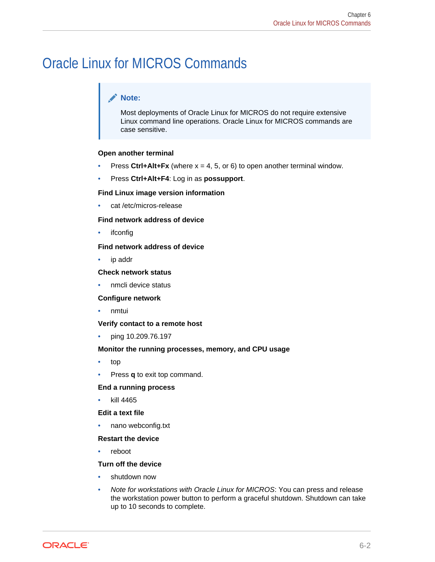## <span id="page-16-0"></span>Oracle Linux for MICROS Commands

#### **Note:**

Most deployments of Oracle Linux for MICROS do not require extensive Linux command line operations. Oracle Linux for MICROS commands are case sensitive.

#### **Open another terminal**

- Press  $Ctrl+Alt+Fx$  (where  $x = 4, 5, or 6$ ) to open another terminal window.
- Press **Ctrl+Alt+F4**: Log in as **possupport**.

#### **Find Linux image version information**

cat /etc/micros-release

#### **Find network address of device**

• ifconfig

#### **Find network address of device**

• ip addr

#### **Check network status**

• nmcli device status

#### **Configure network**

• nmtui

#### **Verify contact to a remote host**

• ping 10.209.76.197

#### **Monitor the running processes, memory, and CPU usage**

- top
- Press **q** to exit top command.

#### **End a running process**

• kill 4465

#### **Edit a text file**

• nano webconfig.txt

#### **Restart the device**

• reboot

#### **Turn off the device**

- shutdown now
- *Note for workstations with Oracle Linux for MICROS*: You can press and release the workstation power button to perform a graceful shutdown. Shutdown can take up to 10 seconds to complete.

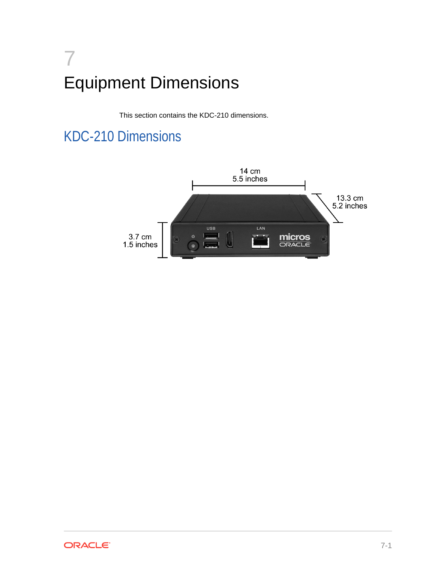# <span id="page-17-0"></span>7 Equipment Dimensions

This section contains the KDC-210 dimensions.

# KDC-210 Dimensions



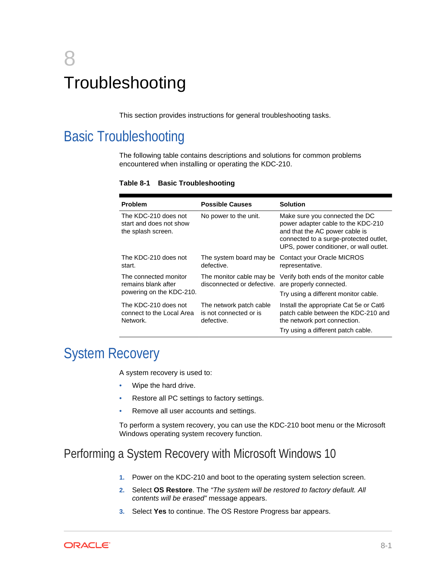# <span id="page-18-0"></span>8 Troubleshooting

This section provides instructions for general troubleshooting tasks.

## Basic Troubleshooting

The following table contains descriptions and solutions for common problems encountered when installing or operating the KDC-210.

| <b>Problem</b>                                                        | <b>Possible Causes</b>                                                         | <b>Solution</b>                                                                                                                                                                             |
|-----------------------------------------------------------------------|--------------------------------------------------------------------------------|---------------------------------------------------------------------------------------------------------------------------------------------------------------------------------------------|
| The KDC-210 does not<br>start and does not show<br>the splash screen. | No power to the unit.                                                          | Make sure you connected the DC<br>power adapter cable to the KDC-210<br>and that the AC power cable is<br>connected to a surge-protected outlet,<br>UPS, power conditioner, or wall outlet. |
| The KDC-210 does not<br>start.                                        | The system board may be<br>defective.                                          | Contact your Oracle MICROS<br>representative.                                                                                                                                               |
| The connected monitor<br>remains blank after                          | The monitor cable may be<br>disconnected or defective. are properly connected. | Verify both ends of the monitor cable                                                                                                                                                       |
| powering on the KDC-210.                                              |                                                                                | Try using a different monitor cable.                                                                                                                                                        |
| The KDC-210 does not<br>connect to the Local Area<br>Network.         | The network patch cable<br>is not connected or is<br>defective.                | Install the appropriate Cat 5e or Cat6<br>patch cable between the KDC-210 and<br>the network port connection.                                                                               |
|                                                                       |                                                                                | Try using a different patch cable.                                                                                                                                                          |

#### **Table 8-1 Basic Troubleshooting**

## System Recovery

A system recovery is used to:

- Wipe the hard drive.
- Restore all PC settings to factory settings.
- Remove all user accounts and settings.

To perform a system recovery, you can use the KDC-210 boot menu or the Microsoft Windows operating system recovery function.

### Performing a System Recovery with Microsoft Windows 10

- **1.** Power on the KDC-210 and boot to the operating system selection screen.
- **2.** Select **OS Restore**. The *"The system will be restored to factory default. All contents will be erased"* message appears.
- **3.** Select **Yes** to continue. The OS Restore Progress bar appears.

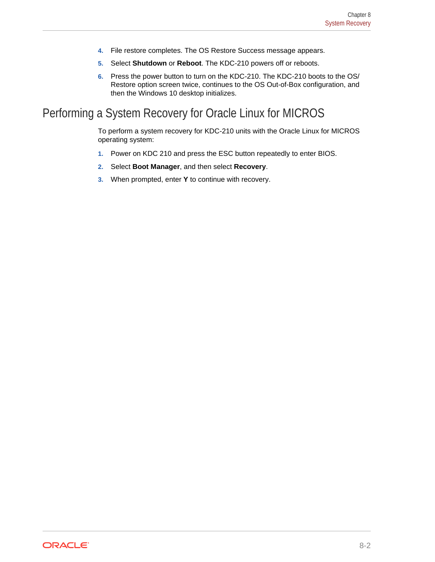- <span id="page-19-0"></span>**4.** File restore completes. The OS Restore Success message appears.
- **5.** Select **Shutdown** or **Reboot**. The KDC-210 powers off or reboots.
- **6.** Press the power button to turn on the KDC-210. The KDC-210 boots to the OS/ Restore option screen twice, continues to the OS Out-of-Box configuration, and then the Windows 10 desktop initializes.

### Performing a System Recovery for Oracle Linux for MICROS

To perform a system recovery for KDC-210 units with the Oracle Linux for MICROS operating system:

- **1.** Power on KDC 210 and press the ESC button repeatedly to enter BIOS.
- **2.** Select **Boot Manager**, and then select **Recovery**.
- **3.** When prompted, enter **Y** to continue with recovery.

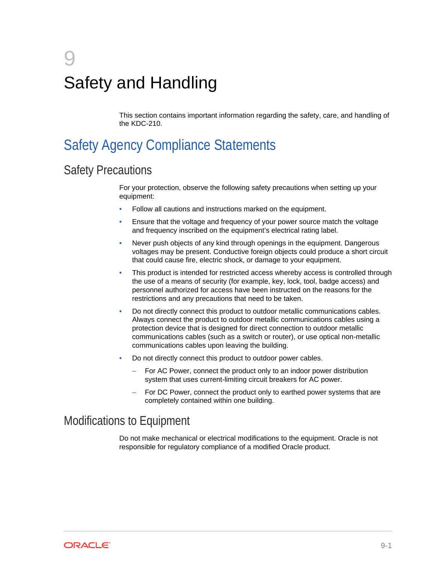# <span id="page-20-0"></span>9 Safety and Handling

This section contains important information regarding the safety, care, and handling of the KDC-210.

# Safety Agency Compliance Statements

### Safety Precautions

For your protection, observe the following safety precautions when setting up your equipment:

- Follow all cautions and instructions marked on the equipment.
- Ensure that the voltage and frequency of your power source match the voltage and frequency inscribed on the equipment's electrical rating label.
- Never push objects of any kind through openings in the equipment. Dangerous voltages may be present. Conductive foreign objects could produce a short circuit that could cause fire, electric shock, or damage to your equipment.
- This product is intended for restricted access whereby access is controlled through the use of a means of security (for example, key, lock, tool, badge access) and personnel authorized for access have been instructed on the reasons for the restrictions and any precautions that need to be taken.
- Do not directly connect this product to outdoor metallic communications cables. Always connect the product to outdoor metallic communications cables using a protection device that is designed for direct connection to outdoor metallic communications cables (such as a switch or router), or use optical non-metallic communications cables upon leaving the building.
- Do not directly connect this product to outdoor power cables.
	- For AC Power, connect the product only to an indoor power distribution system that uses current-limiting circuit breakers for AC power.
	- For DC Power, connect the product only to earthed power systems that are completely contained within one building.

### Modifications to Equipment

Do not make mechanical or electrical modifications to the equipment. Oracle is not responsible for regulatory compliance of a modified Oracle product.

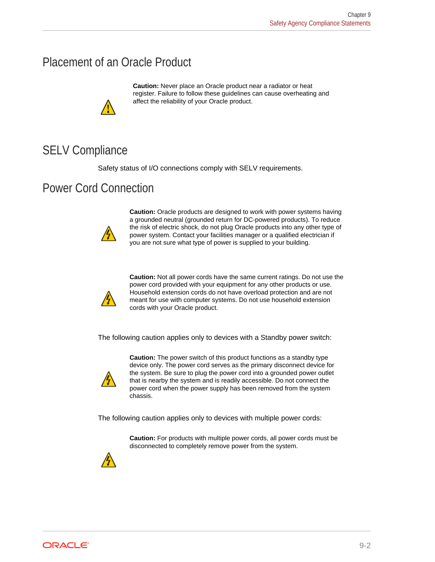### <span id="page-21-0"></span>Placement of an Oracle Product



**Caution:** Never place an Oracle product near a radiator or heat register. Failure to follow these guidelines can cause overheating and affect the reliability of your Oracle product.

### SELV Compliance

Safety status of I/O connections comply with SELV requirements.

### Power Cord Connection



**Caution:** Oracle products are designed to work with power systems having a grounded neutral (grounded return for DC-powered products). To reduce the risk of electric shock, do not plug Oracle products into any other type of power system. Contact your facilities manager or a qualified electrician if you are not sure what type of power is supplied to your building.



**Caution:** Not all power cords have the same current ratings. Do not use the power cord provided with your equipment for any other products or use. Household extension cords do not have overload protection and are not meant for use with computer systems. Do not use household extension cords with your Oracle product.

The following caution applies only to devices with a Standby power switch:



**Caution:** The power switch of this product functions as a standby type device only. The power cord serves as the primary disconnect device for the system. Be sure to plug the power cord into a grounded power outlet that is nearby the system and is readily accessible. Do not connect the power cord when the power supply has been removed from the system chassis.

The following caution applies only to devices with multiple power cords:

**Caution:** For products with multiple power cords, all power cords must be disconnected to completely remove power from the system.



ORACLE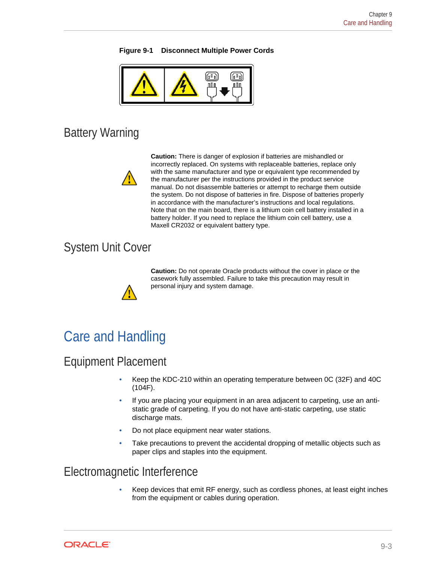#### <span id="page-22-0"></span>**Figure 9-1 Disconnect Multiple Power Cords**



### Battery Warning



**Caution:** There is danger of explosion if batteries are mishandled or incorrectly replaced. On systems with replaceable batteries, replace only with the same manufacturer and type or equivalent type recommended by the manufacturer per the instructions provided in the product service manual. Do not disassemble batteries or attempt to recharge them outside the system. Do not dispose of batteries in fire. Dispose of batteries properly in accordance with the manufacturer's instructions and local regulations. Note that on the main board, there is a lithium coin cell battery installed in a battery holder. If you need to replace the lithium coin cell battery, use a Maxell CR2032 or equivalent battery type.

### System Unit Cover



**Caution:** Do not operate Oracle products without the cover in place or the casework fully assembled. Failure to take this precaution may result in personal injury and system damage.

## Care and Handling

### Equipment Placement

- Keep the KDC-210 within an operating temperature between 0C (32F) and 40C (104F).
- If you are placing your equipment in an area adjacent to carpeting, use an antistatic grade of carpeting. If you do not have anti-static carpeting, use static discharge mats.
- Do not place equipment near water stations.
- Take precautions to prevent the accidental dropping of metallic objects such as paper clips and staples into the equipment.

### Electromagnetic Interference

• Keep devices that emit RF energy, such as cordless phones, at least eight inches from the equipment or cables during operation.